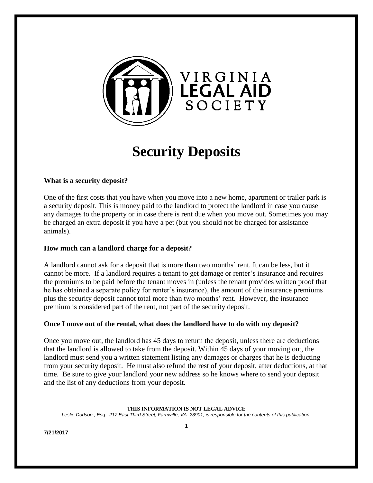

# **Security Deposits**

# **What is a security deposit?**

One of the first costs that you have when you move into a new home, apartment or trailer park is a security deposit. This is money paid to the landlord to protect the landlord in case you cause any damages to the property or in case there is rent due when you move out. Sometimes you may be charged an extra deposit if you have a pet (but you should not be charged for assistance animals).

## **How much can a landlord charge for a deposit?**

A landlord cannot ask for a deposit that is more than two months' rent. It can be less, but it cannot be more. If a landlord requires a tenant to get damage or renter's insurance and requires the premiums to be paid before the tenant moves in (unless the tenant provides written proof that he has obtained a separate policy for renter's insurance), the amount of the insurance premiums plus the security deposit cannot total more than two months' rent. However, the insurance premium is considered part of the rent, not part of the security deposit.

## **Once I move out of the rental, what does the landlord have to do with my deposit?**

Once you move out, the landlord has 45 days to return the deposit, unless there are deductions that the landlord is allowed to take from the deposit. Within 45 days of your moving out, the landlord must send you a written statement listing any damages or charges that he is deducting from your security deposit. He must also refund the rest of your deposit, after deductions, at that time. Be sure to give your landlord your new address so he knows where to send your deposit and the list of any deductions from your deposit.

#### **THIS INFORMATION IS NOT LEGAL ADVICE**

*Leslie Dodson,, Esq., 217 East Third Street, Farmville, VA 23901, is responsible for the contents of this publication.*

**7/21/2017**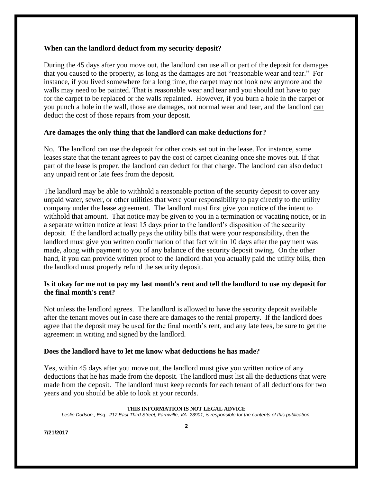## **When can the landlord deduct from my security deposit?**

During the 45 days after you move out, the landlord can use all or part of the deposit for damages that you caused to the property, as long as the damages are not "reasonable wear and tear." For instance, if you lived somewhere for a long time, the carpet may not look new anymore and the walls may need to be painted. That is reasonable wear and tear and you should not have to pay for the carpet to be replaced or the walls repainted. However, if you burn a hole in the carpet or you punch a hole in the wall, those are damages, not normal wear and tear, and the landlord can deduct the cost of those repairs from your deposit.

## **Are damages the only thing that the landlord can make deductions for?**

No. The landlord can use the deposit for other costs set out in the lease. For instance, some leases state that the tenant agrees to pay the cost of carpet cleaning once she moves out. If that part of the lease is proper, the landlord can deduct for that charge. The landlord can also deduct any unpaid rent or late fees from the deposit.

The landlord may be able to withhold a reasonable portion of the security deposit to cover any unpaid water, sewer, or other utilities that were your responsibility to pay directly to the utility company under the lease agreement. The landlord must first give you notice of the intent to withhold that amount. That notice may be given to you in a termination or vacating notice, or in a separate written notice at least 15 days prior to the landlord's disposition of the security deposit. If the landlord actually pays the utility bills that were your responsibility, then the landlord must give you written confirmation of that fact within 10 days after the payment was made, along with payment to you of any balance of the security deposit owing. On the other hand, if you can provide written proof to the landlord that you actually paid the utility bills, then the landlord must properly refund the security deposit.

## **Is it okay for me not to pay my last month's rent and tell the landlord to use my deposit for the final month's rent?**

Not unless the landlord agrees. The landlord is allowed to have the security deposit available after the tenant moves out in case there are damages to the rental property. If the landlord does agree that the deposit may be used for the final month's rent, and any late fees, be sure to get the agreement in writing and signed by the landlord.

## **Does the landlord have to let me know what deductions he has made?**

Yes, within 45 days after you move out, the landlord must give you written notice of any deductions that he has made from the deposit. The landlord must list all the deductions that were made from the deposit. The landlord must keep records for each tenant of all deductions for two years and you should be able to look at your records.

### **THIS INFORMATION IS NOT LEGAL ADVICE**

*Leslie Dodson,, Esq., 217 East Third Street, Farmville, VA 23901, is responsible for the contents of this publication.*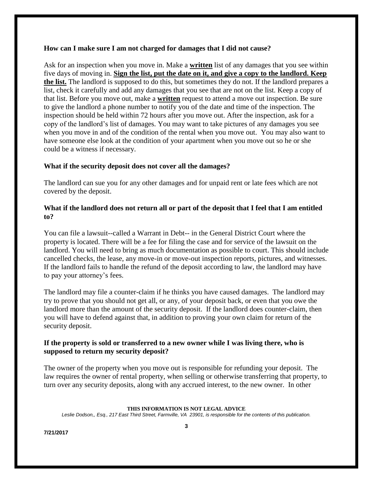## **How can I make sure I am not charged for damages that I did not cause?**

Ask for an inspection when you move in. Make a **written** list of any damages that you see within five days of moving in. **Sign the list, put the date on it, and give a copy to the landlord. Keep the list.** The landlord is supposed to do this, but sometimes they do not. If the landlord prepares a list, check it carefully and add any damages that you see that are not on the list. Keep a copy of that list. Before you move out, make a **written** request to attend a move out inspection. Be sure to give the landlord a phone number to notify you of the date and time of the inspection. The inspection should be held within 72 hours after you move out. After the inspection, ask for a copy of the landlord's list of damages. You may want to take pictures of any damages you see when you move in and of the condition of the rental when you move out. You may also want to have someone else look at the condition of your apartment when you move out so he or she could be a witness if necessary.

## **What if the security deposit does not cover all the damages?**

The landlord can sue you for any other damages and for unpaid rent or late fees which are not covered by the deposit.

## **What if the landlord does not return all or part of the deposit that I feel that I am entitled to?**

You can file a lawsuit--called a Warrant in Debt-- in the General District Court where the property is located. There will be a fee for filing the case and for service of the lawsuit on the landlord. You will need to bring as much documentation as possible to court. This should include cancelled checks, the lease, any move-in or move-out inspection reports, pictures, and witnesses. If the landlord fails to handle the refund of the deposit according to law, the landlord may have to pay your attorney's fees.

The landlord may file a counter-claim if he thinks you have caused damages. The landlord may try to prove that you should not get all, or any, of your deposit back, or even that you owe the landlord more than the amount of the security deposit. If the landlord does counter-claim, then you will have to defend against that, in addition to proving your own claim for return of the security deposit.

## **If the property is sold or transferred to a new owner while I was living there, who is supposed to return my security deposit?**

The owner of the property when you move out is responsible for refunding your deposit. The law requires the owner of rental property, when selling or otherwise transferring that property, to turn over any security deposits, along with any accrued interest, to the new owner. In other

## **THIS INFORMATION IS NOT LEGAL ADVICE**

*Leslie Dodson,, Esq., 217 East Third Street, Farmville, VA 23901, is responsible for the contents of this publication.*

**7/21/2017**